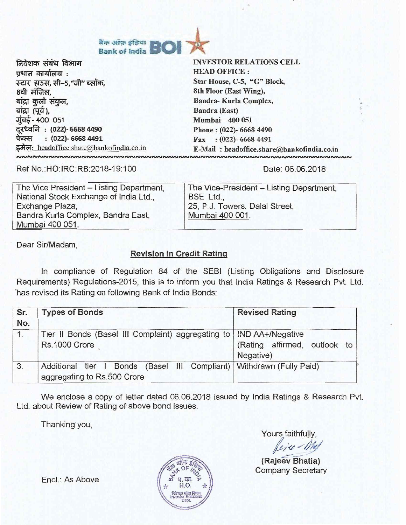

निवेशक संबंध विभाग प्रधान कार्यालय : स्टार हाउस, सी-5, "जी" ब्लॉक, 8वी मंजिल. बांद्रा कुर्ला संकुल, बांद्रा (पूर्व), **71"4- 400 051**  दर<sup>्</sup>ध्वनि : (022)- 6668 4490<br>फेक्स : (022)- 6668 4491 इमेल: headoffice.share@bankofindia.co.in **INVESTOR RELATIONS CELL HEAD OFFICE : Star House, C-5, "G" Block, 8th Floor (East Wing), Sandra- Kurla Complex, Bandra (East) Mumbai — 400 051 Phone : (022)- 6668 4490 Fax : (022)- 6668 4491 E-Mail : headoffice.share\*bankofindia.co.in** 

Ref No.:HO:IRC:RR:2018-19:100

Date: 06.06.2018

| The Vice President - Listing Department, | The Vice-President - Listing Department, |
|------------------------------------------|------------------------------------------|
| National Stock Exchange of India Ltd.,   | BSE Ltd.,                                |
| Exchange Plaza,                          | 25, P.J. Towers, Dalal Street.           |
| Bandra Kurla Complex, Bandra East,       | Mumbai 400 001.                          |
| Mumbai 400 051.                          |                                          |

Dear Sir/Madam,

## **Revision in Credit Rating**

In compliance of Regulation 84 of the SEBI (Listing Obligations and Disclosure Requirements) Regulations-2015, this is to inform you that India Ratings & Research Pvt. Ltd. 'has revised its Rating on following Bank of India Bonds:

| Sr.<br>No. | <b>Types of Bonds</b>                                                                                 | <b>Revised Rating</b>                     |  |  |  |
|------------|-------------------------------------------------------------------------------------------------------|-------------------------------------------|--|--|--|
| 1.         | Tier II Bonds (Basel III Complaint) aggregating to   IND AA+/Negative<br>Rs.1000 Crore                | (Rating affirmed, outlook to<br>Negative) |  |  |  |
| 3.         | Additional tier I Bonds (Basel III Compliant)   Withdrawn (Fully Paid)<br>aggregating to Rs.500 Crore |                                           |  |  |  |

We enclose a copy of letter dated 06.06.2018 issued by India Ratings & Research Pvt. Ltd. about Review of Rating of above bond issues.

Thanking you,

Yours faithfully,

Rejee Nel

**(Rajeev Bhatia)**  Company Secretary



Encl.: As Above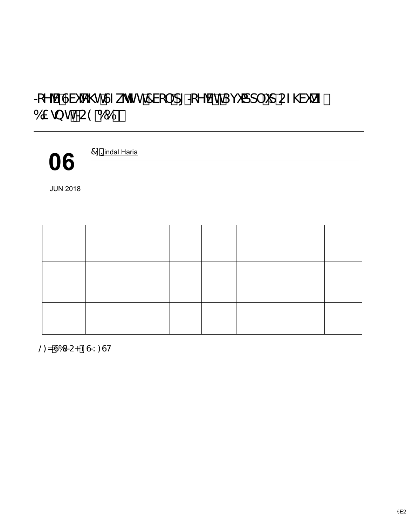## \*YV°GVi \th°GZkhZh°7Vc`d[° \*YV®°Djiadd`id°CZ\Vi \tZO 61/20 h° £9°662<sup>®</sup>

7n'Jindal Haria

06

.QGLD 5DWLQJV DQG 5HVHDUFK .QG 5D UHYLVHG %DQN RI .QGLD¶V 6WDEOH ZKLOH DIILUPLQJ WKH /RQJ 7HUP, VVXHU 5DWLQJ DW µ, 1' \$ **JUN 2018** DUH DV IROORZV

| , Q V W U X P H Q W 6, 1 |                 | 'DWRI        |                        | & R X S R Q D W X U L \ G \ L \ R I |                 | 5 D W L Q J 2 X W O RORWIN L Q J |                          |  |
|--------------------------|-----------------|--------------|------------------------|-------------------------------------|-----------------|----------------------------------|--------------------------|--|
| $7 \backslash$ SH        |                 |              | , V V X D Q F H5 D W H | 'DWHI                               | .VVXHI          |                                  | \$FWLRQ                  |  |
|                          |                 |              |                        |                                     | ELOOLRQ         |                                  |                          |  |
| % D V, H, O7 L H, U (    |                 | \$<br>ODUFIK |                        |                                     | $0$ D U F K, 15 |                                  | 5 D W L Q J              |  |
| ERQGV                    |                 |              |                        |                                     |                 | \$\$                             | 1 H J D WL YOH I L U PHG |  |
|                          |                 |              |                        |                                     |                 |                                  | 2XWORRN WR               |  |
|                          |                 |              |                        |                                     |                 |                                  | 1 H J D WL Y H           |  |
| % D V, H, O\$ 7          | $, 1$ ( $\sqrt$ |              |                        | 3HUSH/WX, D <sub>D</sub>            |                 | $\cdot$ '                        | : L W K G U D Z Q        |  |
| SHUSHWXDO                |                 | 1RYHPEHU     |                        |                                     |                 |                                  | $IX$ O ON                |  |
| ERQGV                    |                 |              |                        |                                     |                 |                                  | UHSDUG                   |  |
|                          |                 |              |                        |                                     |                 |                                  |                          |  |

@ N°G61 £<°9G\*1: GH

0LQLPXP 6XVWDLQDELOLW\6XSSRKUHW20XWLOORHRQN5UDHWMLQ/JLRQUHIOHFWVWKHLPSDL VXVWDLQ LWV FXUUHQW SRVLWLRQ RI V\VWHPLF LPSRUWDQFH ZLWK WKH SRVV OLDELOLWLHV PLUURULQJ WKH VKDUS GHWHULRUDWLRQ LQ LWV DVVHW TXDOL UHVWUXFWXUHG DVVHWV DQG RYHUGXH ORDQV LQ WKH VSHFLDO PHQWLRQ FD' DQG WKLV ZRXOG FRQWLQXH LQ )< **SOVR WKH FDSLWDO LQIXV**  $)$  <  $\vert$  <  $)$  < DOWKRXJK VXEVWDQWLDO LV OLNHO\ WR SURYH LQDGHTXDWH DQG WKH E HISDQG OHQGLQJ RSHUDWLRQV 7KH 1HJDWLYH 2XWORRN DOVR UHIOHFWV WKH FRUUHFWLYH DFWLRQ¶ IRU DQ HIWHQGHG SHULRG GXH WR LWV HISHFWHG ZHD 7KLV FRXOG UHVXOW LQ WKH EDQN FRQWLQXLQJ WR FHGH LWV PDUNHW VI  $\vert$  < GHSRVLWV DQG DGYDQFHV DQG WKHUHE\LWV V\VWHPLF LPSRUWDQFH

/DUJH & DSLWDO 5HTXLUHPHQW W%K2U¶RWXSKWJD**OLHYRDWHQRIQHVSLHWJHXLOODNXVERWOKVH** \*R,7KHEDQUNHSRUDWFRHBPRHOTXLWWL\HUUDWRLIR DWHQG0DUFKVXSSREUWWHKGHR,¶LVQIXWLIRQ  $E$  LO **O QNRK E** D QLNQ + ) < , Q G  $H$  IDS H FRW KB HD Q IN TU HIG R W W  $Q$  ) < )<WRIFHW4&WHRWDLSOLWDO  $.15$ H [SH F WUHROP/K\*HR, XQG KW UK FHX U UEHDQOWN H FD SL W BSIOIR VIDIYON POROBEH Q FWH K FHD SL W DODLHAMDPMODAUR Q